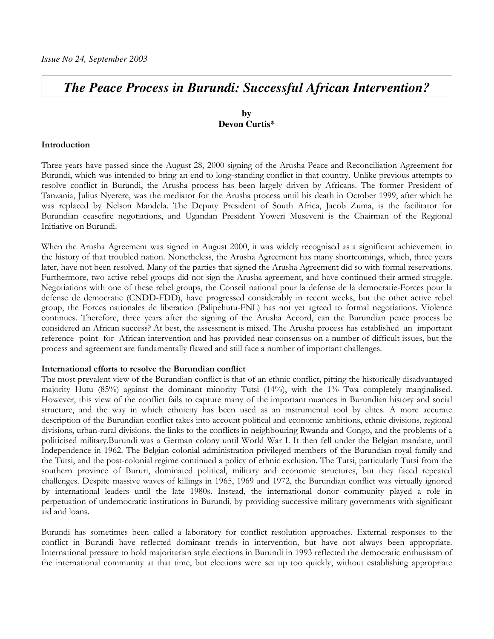# **The Peace Process in Burundi: Successful African Intervention?**

# by Devon Curtis\*

#### Introduction

Three years have passed since the August 28, 2000 signing of the Arusha Peace and Reconciliation Agreement for Burundi, which was intended to bring an end to long-standing conflict in that country. Unlike previous attempts to resolve conflict in Burundi, the Arusha process has been largely driven by Africans. The former President of Tanzania, Julius Nyerere, was the mediator for the Arusha process until his death in October 1999, after which he was replaced by Nelson Mandela. The Deputy President of South Africa, Jacob Zuma, is the facilitator for Burundian ceasefire negotiations, and Ugandan President Yoweri Museveni is the Chairman of the Regional Initiative on Burundi.

When the Arusha Agreement was signed in August 2000, it was widely recognised as a significant achievement in the history of that troubled nation. Nonetheless, the Arusha Agreement has many shortcomings, which, three years later, have not been resolved. Many of the parties that signed the Arusha Agreement did so with formal reservations. Furthermore, two active rebel groups did not sign the Arusha agreement, and have continued their armed struggle. Negotiations with one of these rebel groups, the Conseil national pour la defense de la democratie-Forces pour la defense de democratie (CNDD-FDD), have progressed considerably in recent weeks, but the other active rebel group, the Forces nationales de liberation (Palipehutu-FNL) has not yet agreed to formal negotiations. Violence continues. Therefore, three years after the signing of the Arusha Accord, can the Burundian peace process be considered an African success? At best, the assessment is mixed. The Arusha process has established an important reference point for African intervention and has provided near consensus on a number of difficult issues, but the process and agreement are fundamentally flawed and still face a number of important challenges.

#### International efforts to resolve the Burundian conflict

The most prevalent view of the Burundian conflict is that of an ethnic conflict, pitting the historically disadvantaged majority Hutu  $(85%)$  against the dominant minority Tutsi  $(14%)$ , with the 1% Twa completely marginalised. However, this view of the conflict fails to capture many of the important nuances in Burundian history and social structure, and the way in which ethnicity has been used as an instrumental tool by elites. A more accurate description of the Burundian conflict takes into account political and economic ambitions, ethnic divisions, regional divisions, urban-rural divisions, the links to the conflicts in neighbouring Rwanda and Congo, and the problems of a politicised military.Burundi was a German colony until World War I. It then fell under the Belgian mandate, until Independence in 1962. The Belgian colonial administration privileged members of the Burundian royal family and the Tutsi, and the post-colonial regime continued a policy of ethnic exclusion. The Tutsi, particularly Tutsi from the southern province of Bururi, dominated political, military and economic structures, but they faced repeated challenges. Despite massive waves of killings in 1965, 1969 and 1972, the Burundian conflict was virtually ignored by international leaders until the late 1980s. Instead, the international donor community played a role in perpetuation of undemocratic institutions in Burundi, by providing successive military governments with significant aid and loans.

Burundi has sometimes been called a laboratory for conflict resolution approaches. External responses to the conflict in Burundi have reflected dominant trends in intervention, but have not always been appropriate. International pressure to hold majoritarian style elections in Burundi in 1993 reflected the democratic enthusiasm of the international community at that time, but elections were set up too quickly, without establishing appropriate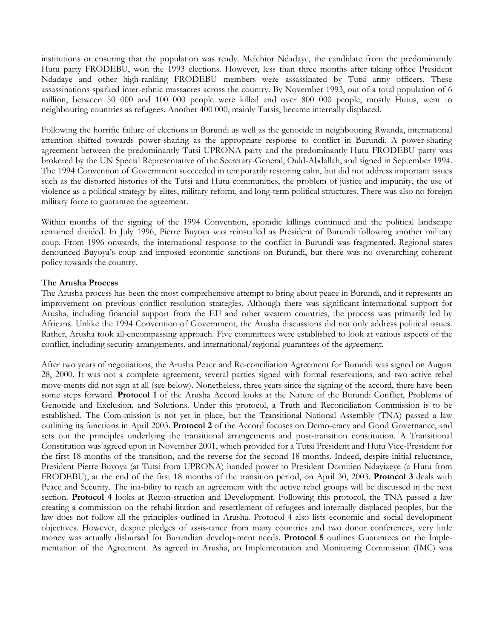institutions or ensuring that the population was ready. Melchior Ndadaye, the candidate from the predominantly Hutu party FRODEBU, won the 1993 elections. However, less than three months after taking office President Ndadaye and other high-ranking FRODEBU members were assassinated by Tutsi army officers. These assassinations sparked inter-ethnic massacres across the country. By November 1993, out of a total population of 6 million, between 50 000 and 100 000 people were killed and over 800 000 people, mostly Hutus, went to neighbouring countries as refugees. Another 400 000, mainly Tutsis, became internally displaced.

Following the horrific failure of elections in Burundi as well as the genocide in neighbouring Rwanda, international attention shifted towards power-sharing as the appropriate response to conflict in Burundi. A power-sharing agreement between the predominantly Tutsi UPRONA party and the predominantly Hutu FRODEBU party was brokered by the UN Special Representative of the Secretary-General, Ould-Abdallah, and signed in September 1994. The 1994 Convention of Government succeeded in temporarily restoring calm, but did not address important issues such as the distorted histories of the Tutsi and Hutu communities, the problem of justice and impunity, the use of violence as a political strategy by elites, military reform, and long-term political structures. There was also no foreign military force to guarantee the agreement.

Within months of the signing of the 1994 Convention, sporadic killings continued and the political landscape remained divided. In July 1996, Pierre Buyova was reinstalled as President of Burundi following another military coup. From 1996 onwards, the international response to the conflict in Burundi was fragmented. Regional states denounced Buyoya's coup and imposed economic sanctions on Burundi, but there was no overarching coherent policy towards the country.

# The Arusha Process

The Arusha process has been the most comprehensive attempt to bring about peace in Burundi, and it represents an improvement on previous conflict resolution strategies. Although there was significant international support for Arusha, including financial support from the EU and other western countries, the process was primarily led by Africans. Unlike the 1994 Convention of Government, the Arusha discussions did not only address political issues. Rather, Arusha took all-encompassing approach. Five committees were established to look at various aspects of the conflict, including security arrangements, and international/regional guarantees of the agreement.

After two years of negotiations, the Arusha Peace and Re-conciliation Agreement for Burundi was signed on August 28, 2000. It was not a complete agreement, several parties signed with formal reservations, and two active rebel move-ments did not sign at all (see below). Nonetheless, three years since the signing of the accord, there have been some steps forward. Protocol 1 of the Arusha Accord looks at the Nature of the Burundi Conflict, Problems of Genocide and Exclusion, and Solutions. Under this protocol, a Truth and Reconciliation Commission is to be established. The Com-mission is not yet in place, but the Transitional National Assembly (TNA) passed a law outlining its functions in April 2003. Protocol 2 of the Accord focuses on Demo-cracy and Good Governance, and sets out the principles underlying the transitional arrangements and post-transition constitution. A Transitional Constitution was agreed upon in November 2001, which provided for a Tutsi President and Hutu Vice-President for the first 18 months of the transition, and the reverse for the second 18 months. Indeed, despite initial reluctance, President Pierre Buyoya (at Tutsi from UPRONA) handed power to President Domitien Ndayizeye (a Hutu from FRODEBU), at the end of the first 18 months of the transition period, on April 30, 2003. Protocol 3 deals with Peace and Security. The ina-bility to reach an agreement with the active rebel groups will be discussed in the next section. Protocol 4 looks at Recon-struction and Development. Following this protocol, the TNA passed a law creating a commission on the rehabi-litation and resettlement of refugees and internally displaced peoples, but the law does not follow all the principles outlined in Arusha. Protocol 4 also lists economic and social development objectives. However, despite pledges of assis-tance from many countries and two donor conferences, very little money was actually disbursed for Burundian develop-ment needs. Protocol 5 outlines Guarantees on the Implementation of the Agreement. As agreed in Arusha, an Implementation and Monitoring Commission (IMC) was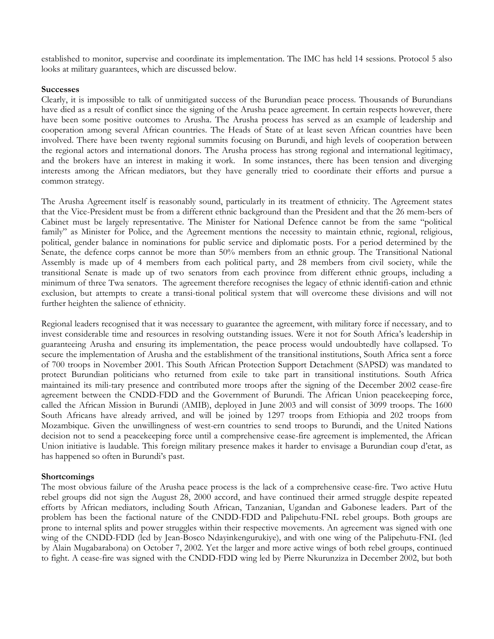established to monitor, supervise and coordinate its implementation. The IMC has held 14 sessions. Protocol 5 also looks at military guarantees, which are discussed below.

#### **Successes**

Clearly, it is impossible to talk of unmitigated success of the Burundian peace process. Thousands of Burundians have died as a result of conflict since the signing of the Arusha peace agreement. In certain respects however, there have been some positive outcomes to Arusha. The Arusha process has served as an example of leadership and cooperation among several African countries. The Heads of State of at least seven African countries have been involved. There have been twenty regional summits focusing on Burundi, and high levels of cooperation between the regional actors and international donors. The Arusha process has strong regional and international legitimacy, and the brokers have an interest in making it work. In some instances, there has been tension and diverging interests among the African mediators, but they have generally tried to coordinate their efforts and pursue a common strategy.

The Arusha Agreement itself is reasonably sound, particularly in its treatment of ethnicity. The Agreement states that the Vice-President must be from a different ethnic background than the President and that the 26 mem-bers of Cabinet must be largely representative. The Minister for National Defence cannot be from the same "political family" as Minister for Police, and the Agreement mentions the necessity to maintain ethnic, regional, religious, political, gender balance in nominations for public service and diplomatic posts. For a period determined by the Senate, the defence corps cannot be more than 50% members from an ethnic group. The Transitional National Assembly is made up of 4 members from each political party, and 28 members from civil society, while the transitional Senate is made up of two senators from each province from different ethnic groups, including a minimum of three Twa senators. The agreement therefore recognises the legacy of ethnic identifi-cation and ethnic exclusion, but attempts to create a transi-tional political system that will overcome these divisions and will not further heighten the salience of ethnicity.

Regional leaders recognised that it was necessary to guarantee the agreement, with military force if necessary, and to invest considerable time and resources in resolving outstanding issues. Were it not for South Africa's leadership in guaranteeing Arusha and ensuring its implementation, the peace process would undoubtedly have collapsed. To secure the implementation of Arusha and the establishment of the transitional institutions, South Africa sent a force of 700 troops in November 2001. This South African Protection Support Detachment (SAPSD) was mandated to protect Burundian politicians who returned from exile to take part in transitional institutions. South Africa maintained its mili-tary presence and contributed more troops after the signing of the December 2002 cease-fire agreement between the CNDD-FDD and the Government of Burundi. The African Union peacekeeping force, called the African Mission in Burundi (AMIB), deployed in June 2003 and will consist of 3099 troops. The 1600 South Africans have already arrived, and will be joined by 1297 troops from Ethiopia and 202 troops from Mozambique. Given the unwillingness of west-ern countries to send troops to Burundi, and the United Nations decision not to send a peacekeeping force until a comprehensive cease-fire agreement is implemented, the African Union initiative is laudable. This foreign military presence makes it harder to envisage a Burundian coup d'etat, as has happened so often in Burundi's past.

# **Shortcomings**

The most obvious failure of the Arusha peace process is the lack of a comprehensive cease-fire. Two active Hutu rebel groups did not sign the August 28, 2000 accord, and have continued their armed struggle despite repeated efforts by African mediators, including South African, Tanzanian, Ugandan and Gabonese leaders. Part of the problem has been the factional nature of the CNDD-FDD and Palipehutu-FNL rebel groups. Both groups are prone to internal splits and power struggles within their respective movements. An agreement was signed with one wing of the CNDD-FDD (led by Jean-Bosco Ndayinkengurukiye), and with one wing of the Palipehutu-FNL (led by Alain Mugabarabona) on October 7, 2002. Yet the larger and more active wings of both rebel groups, continued to fight. A cease-fire was signed with the CNDD-FDD wing led by Pierre Nkurunziza in December 2002, but both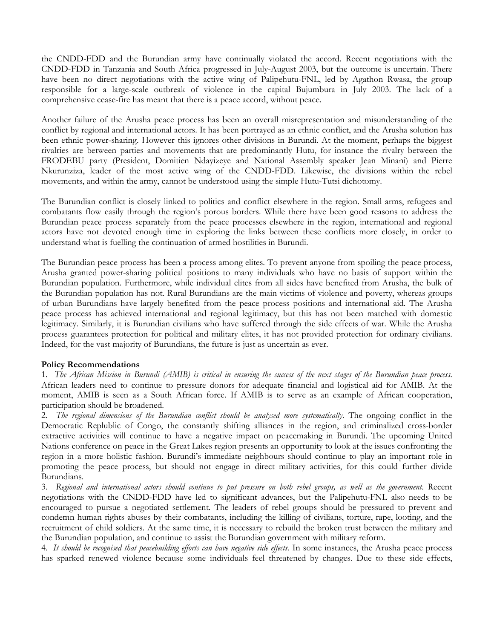the CNDD-FDD and the Burundian army have continually violated the accord. Recent negotiations with the CNDD-FDD in Tanzania and South Africa progressed in July-August 2003, but the outcome is uncertain. There have been no direct negotiations with the active wing of Palipehutu-FNL, led by Agathon Rwasa, the group responsible for a large-scale outbreak of violence in the capital Bujumbura in July 2003. The lack of a comprehensive cease-fire has meant that there is a peace accord, without peace.

Another failure of the Arusha peace process has been an overall misrepresentation and misunderstanding of the conflict by regional and international actors. It has been portrayed as an ethnic conflict, and the Arusha solution has been ethnic power-sharing. However this ignores other divisions in Burundi. At the moment, perhaps the biggest rivalries are between parties and movements that are predominantly Hutu, for instance the rivalry between the FRODEBU party (President, Domitien Ndayizeye and National Assembly speaker Jean Minani) and Pierre Nkurunziza, leader of the most active wing of the CNDD-FDD. Likewise, the divisions within the rebel movements, and within the army, cannot be understood using the simple Hutu-Tutsi dichotomy.

The Burundian conflict is closely linked to politics and conflict elsewhere in the region. Small arms, refugees and combatants flow easily through the region's porous borders. While there have been good reasons to address the Burundian peace process separately from the peace processes elsewhere in the region, international and regional actors have not devoted enough time in exploring the links between these conflicts more closely, in order to understand what is fuelling the continuation of armed hostilities in Burundi.

The Burundian peace process has been a process among elites. To prevent anyone from spoiling the peace process, Arusha granted power-sharing political positions to many individuals who have no basis of support within the Burundian population. Furthermore, while individual elites from all sides have benefited from Arusha, the bulk of the Burundian population has not. Rural Burundians are the main victims of violence and poverty, whereas groups of urban Burundians have largely benefited from the peace process positions and international aid. The Arusha peace process has achieved international and regional legitimacy, but this has not been matched with domestic legitimacy. Similarly, it is Burundian civilians who have suffered through the side effects of war. While the Arusha process guarantees protection for political and military elites, it has not provided protection for ordinary civilians. Indeed, for the vast majority of Burundians, the future is just as uncertain as ever.

# **Policy Recommendations**

1. The African Mission in Burundi (AMIB) is critical in ensuring the success of the next stages of the Burundian peace process. African leaders need to continue to pressure donors for adequate financial and logistical aid for AMIB. At the moment, AMIB is seen as a South African force. If AMIB is to serve as an example of African cooperation, participation should be broadened.

The regional dimensions of the Burundian conflict should be analysed more systematically. The ongoing conflict in the 2. Democratic Replublic of Congo, the constantly shifting alliances in the region, and criminalized cross-border extractive activities will continue to have a negative impact on peacemaking in Burundi. The upcoming United Nations conference on peace in the Great Lakes region presents an opportunity to look at the issues confronting the region in a more holistic fashion. Burundi's immediate neighbours should continue to play an important role in promoting the peace process, but should not engage in direct military activities, for this could further divide Burundians.

3. Regional and international actors should continue to put pressure on both rebel groups, as well as the government. Recent negotiations with the CNDD-FDD have led to significant advances, but the Palipehutu-FNL also needs to be encouraged to pursue a negotiated settlement. The leaders of rebel groups should be pressured to prevent and condemn human rights abuses by their combatants, including the killing of civilians, torture, rape, looting, and the recruitment of child soldiers. At the same time, it is necessary to rebuild the broken trust between the military and the Burundian population, and continue to assist the Burundian government with military reform.

4. It should be recognised that peacebuilding efforts can have negative side effects. In some instances, the Arusha peace process has sparked renewed violence because some individuals feel threatened by changes. Due to these side effects,